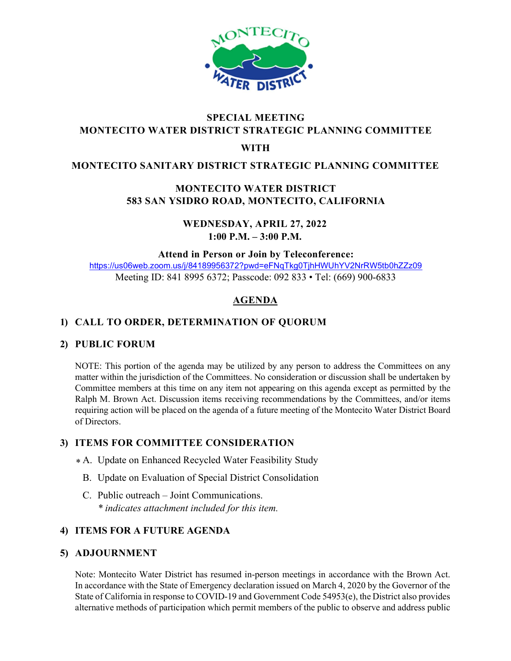

# SPECIAL MEETING MONTECITO WATER DISTRICT STRATEGIC PLANNING COMMITTEE

#### WITH

## MONTECITO SANITARY DISTRICT STRATEGIC PLANNING COMMITTEE

# MONTECITO WATER DISTRICT 583 SAN YSIDRO ROAD, MONTECITO, CALIFORNIA

WEDNESDAY, APRIL 27, 2022 1:00 P.M. – 3:00 P.M.

Attend in Person or Join by Teleconference:

https://us06web.zoom.us/j/84189956372?pwd=eFNqTkg0TjhHWUhYV2NrRW5tb0hZZz09 Meeting ID: 841 8995 6372; Passcode: 092 833 • Tel: (669) 900-6833

# AGENDA

## 1) CALL TO ORDER, DETERMINATION OF QUORUM

#### 2) PUBLIC FORUM

NOTE: This portion of the agenda may be utilized by any person to address the Committees on any matter within the jurisdiction of the Committees. No consideration or discussion shall be undertaken by Committee members at this time on any item not appearing on this agenda except as permitted by the Ralph M. Brown Act. Discussion items receiving recommendations by the Committees, and/or items requiring action will be placed on the agenda of a future meeting of the Montecito Water District Board of Directors.

### 3) ITEMS FOR COMMITTEE CONSIDERATION

- A. Update on Enhanced Recycled Water Feasibility Study \*
	- B. Update on Evaluation of Special District Consolidation
- C. Public outreach Joint Communications. \* indicates attachment included for this item.

### 4) ITEMS FOR A FUTURE AGENDA

#### 5) ADJOURNMENT

Note: Montecito Water District has resumed in-person meetings in accordance with the Brown Act. In accordance with the State of Emergency declaration issued on March 4, 2020 by the Governor of the State of California in response to COVID-19 and Government Code 54953(e), the District also provides alternative methods of participation which permit members of the public to observe and address public